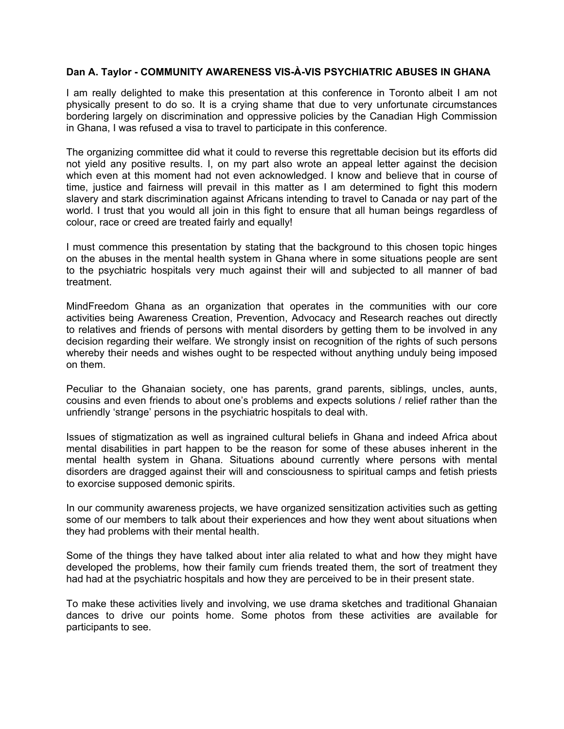## **Dan A. Taylor - COMMUNITY AWARENESS VIS-À-VIS PSYCHIATRIC ABUSES IN GHANA**

I am really delighted to make this presentation at this conference in Toronto albeit I am not physically present to do so. It is a crying shame that due to very unfortunate circumstances bordering largely on discrimination and oppressive policies by the Canadian High Commission in Ghana, I was refused a visa to travel to participate in this conference.

The organizing committee did what it could to reverse this regrettable decision but its efforts did not yield any positive results. I, on my part also wrote an appeal letter against the decision which even at this moment had not even acknowledged. I know and believe that in course of time, justice and fairness will prevail in this matter as I am determined to fight this modern slavery and stark discrimination against Africans intending to travel to Canada or nay part of the world. I trust that you would all join in this fight to ensure that all human beings regardless of colour, race or creed are treated fairly and equally!

I must commence this presentation by stating that the background to this chosen topic hinges on the abuses in the mental health system in Ghana where in some situations people are sent to the psychiatric hospitals very much against their will and subjected to all manner of bad treatment.

MindFreedom Ghana as an organization that operates in the communities with our core activities being Awareness Creation, Prevention, Advocacy and Research reaches out directly to relatives and friends of persons with mental disorders by getting them to be involved in any decision regarding their welfare. We strongly insist on recognition of the rights of such persons whereby their needs and wishes ought to be respected without anything unduly being imposed on them.

Peculiar to the Ghanaian society, one has parents, grand parents, siblings, uncles, aunts, cousins and even friends to about one's problems and expects solutions / relief rather than the unfriendly 'strange' persons in the psychiatric hospitals to deal with.

Issues of stigmatization as well as ingrained cultural beliefs in Ghana and indeed Africa about mental disabilities in part happen to be the reason for some of these abuses inherent in the mental health system in Ghana. Situations abound currently where persons with mental disorders are dragged against their will and consciousness to spiritual camps and fetish priests to exorcise supposed demonic spirits.

In our community awareness projects, we have organized sensitization activities such as getting some of our members to talk about their experiences and how they went about situations when they had problems with their mental health.

Some of the things they have talked about inter alia related to what and how they might have developed the problems, how their family cum friends treated them, the sort of treatment they had had at the psychiatric hospitals and how they are perceived to be in their present state.

To make these activities lively and involving, we use drama sketches and traditional Ghanaian dances to drive our points home. Some photos from these activities are available for participants to see.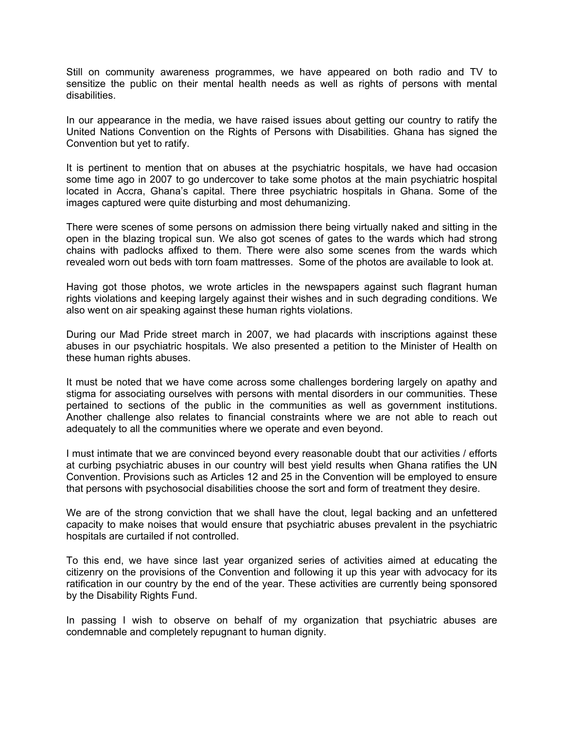Still on community awareness programmes, we have appeared on both radio and TV to sensitize the public on their mental health needs as well as rights of persons with mental disabilities.

In our appearance in the media, we have raised issues about getting our country to ratify the United Nations Convention on the Rights of Persons with Disabilities. Ghana has signed the Convention but yet to ratify.

It is pertinent to mention that on abuses at the psychiatric hospitals, we have had occasion some time ago in 2007 to go undercover to take some photos at the main psychiatric hospital located in Accra, Ghana's capital. There three psychiatric hospitals in Ghana. Some of the images captured were quite disturbing and most dehumanizing.

There were scenes of some persons on admission there being virtually naked and sitting in the open in the blazing tropical sun. We also got scenes of gates to the wards which had strong chains with padlocks affixed to them. There were also some scenes from the wards which revealed worn out beds with torn foam mattresses. Some of the photos are available to look at.

Having got those photos, we wrote articles in the newspapers against such flagrant human rights violations and keeping largely against their wishes and in such degrading conditions. We also went on air speaking against these human rights violations.

During our Mad Pride street march in 2007, we had placards with inscriptions against these abuses in our psychiatric hospitals. We also presented a petition to the Minister of Health on these human rights abuses.

It must be noted that we have come across some challenges bordering largely on apathy and stigma for associating ourselves with persons with mental disorders in our communities. These pertained to sections of the public in the communities as well as government institutions. Another challenge also relates to financial constraints where we are not able to reach out adequately to all the communities where we operate and even beyond.

I must intimate that we are convinced beyond every reasonable doubt that our activities / efforts at curbing psychiatric abuses in our country will best yield results when Ghana ratifies the UN Convention. Provisions such as Articles 12 and 25 in the Convention will be employed to ensure that persons with psychosocial disabilities choose the sort and form of treatment they desire.

We are of the strong conviction that we shall have the clout, legal backing and an unfettered capacity to make noises that would ensure that psychiatric abuses prevalent in the psychiatric hospitals are curtailed if not controlled.

To this end, we have since last year organized series of activities aimed at educating the citizenry on the provisions of the Convention and following it up this year with advocacy for its ratification in our country by the end of the year. These activities are currently being sponsored by the Disability Rights Fund.

In passing I wish to observe on behalf of my organization that psychiatric abuses are condemnable and completely repugnant to human dignity.